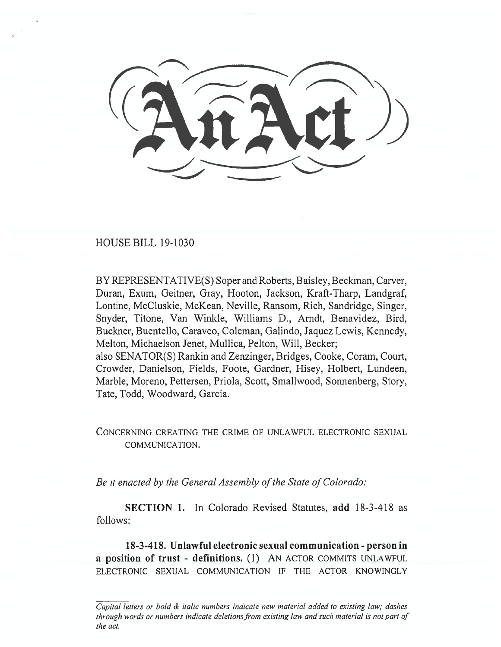HOUSE BILL 19-1030

BY REPRESENTATIVE(S) Soper and Roberts, Baisley, Beckman, Carver, Duran, Exum, Geitner, Gray, Hooton, Jackson, Kraft-Tharp, Landgraf, Lontine, McCluskie, McKean, Neville, Ransom, Rich, Sandridge, Singer, Snyder, Titone, Van Winkle, Williams D., Arndt, Benavidez, Bird, Buckner, Buentello, Caraveo, Coleman, Galindo, Jaquez Lewis, Kennedy, Melton, Michaelson Jenet, Mullica, Pelton, Will, Becker; also SENATOR(S) Rankin and Zenzinger, Bridges, Cooke, Coram, Court, Crowder, Danielson, Fields, Foote, Gardner, Hisey, Holbert, Lundeen, Marble, Moreno, Pettersen, Priola, Scott, Smallwood, Sonnenberg, Story, Tate, Todd, Woodward, Garcia.

CONCERNING CREATING THE CRIME OF UNLAWFUL ELECTRONIC SEXUAL COMMUNICATION.

*Be it enacted by the General Assembly of the State of Colorado:* 

**SECTION 1.** In Colorado Revised Statutes, **add** 18-3-418 as follows:

**18-3-418. Unlawful electronic sexual communication - person in a position of trust - definitions. (1)** AN ACTOR COMMITS UNLAWFUL ELECTRONIC SEXUAL COMMUNICATION IF THE ACTOR KNOWINGLY

*Capital letters or bold & italic numbers indicate new material added to existing law; dashes through words or numbers indicate deletions from existing law and such material is not part of the act.*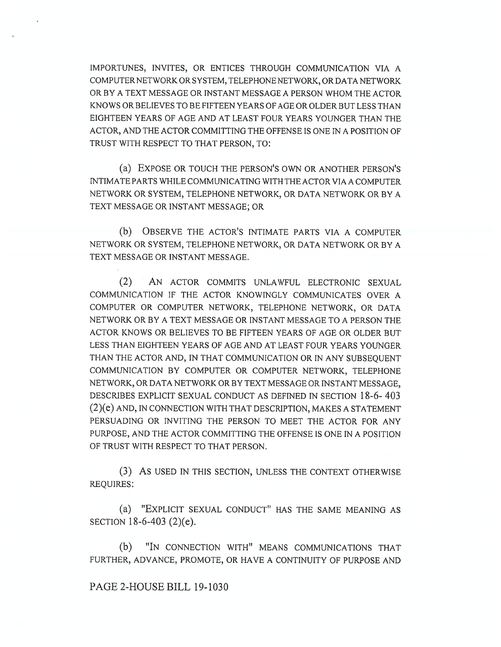IMPORTUNES, INVITES, OR ENTICES THROUGH COMMUNICATION VIA A COMPUTER NETWORK OR SYSTEM, TELEPHONE NETWORK, OR DATA NETWORK OR BY A TEXT MESSAGE OR INSTANT MESSAGE A PERSON WHOM THE ACTOR KNOWS OR BELIEVES TO BE FIFTEEN YEARS OF AGE OR OLDER BUT LESS THAN EIGHTEEN YEARS OF AGE AND AT LEAST FOUR YEARS YOUNGER THAN THE ACTOR, AND THE ACTOR COMMITTING THE OFFENSE IS ONE IN A POSITION OF TRUST WITH RESPECT TO THAT PERSON, TO:

(a) EXPOSE OR TOUCH THE PERSON'S OWN OR ANOTHER PERSON'S INTIMATE PARTS WHILE COMMUNICATING WITH THE ACTOR VIA A COMPUTER NETWORK OR SYSTEM, TELEPHONE NETWORK, OR DATA NETWORK OR BY A TEXT MESSAGE OR INSTANT MESSAGE; OR

(b) OBSERVE THE ACTOR'S INTIMATE PARTS VIA A COMPUTER NETWORK OR SYSTEM, TELEPHONE NETWORK, OR DATA NETWORK OR BY A TEXT MESSAGE OR INSTANT MESSAGE.

(2) AN ACTOR COMMITS UNLAWFUL ELECTRONIC SEXUAL COMMUNICATION IF THE ACTOR KNOWINGLY COMMUNICATES OVER A COMPUTER OR COMPUTER NETWORK, TELEPHONE NETWORK, OR DATA NETWORK OR BY A TEXT MESSAGE OR INSTANT MESSAGE TO A PERSON THE ACTOR KNOWS OR BELIEVES TO BE FIFTEEN YEARS OF AGE OR OLDER BUT LESS THAN EIGHTEEN YEARS OF AGE AND AT LEAST FOUR YEARS YOUNGER THAN THE ACTOR AND, IN THAT COMMUNICATION OR IN ANY SUBSEQUENT COMMUNICATION BY COMPUTER OR COMPUTER NETWORK, TELEPHONE NETWORK, OR DATA NETWORK OR BY TEXT MESSAGE OR INSTANT MESSAGE, DESCRIBES EXPLICIT SEXUAL CONDUCT AS DEFINED IN SECTION 18-6- 403 (2)(e) AND, IN CONNECTION WITH THAT DESCRIPTION, MAKES A STATEMENT PERSUADING OR INVITING THE PERSON TO MEET THE ACTOR FOR ANY PURPOSE, AND THE ACTOR COMMITTING THE OFFENSE IS ONE IN A POSITION OF TRUST WITH RESPECT TO THAT PERSON.

(3) As USED IN THIS SECTION, UNLESS THE CONTEXT OTHERWISE REQUIRES:

(a) "EXPLICIT SEXUAL CONDUCT" HAS THE SAME MEANING AS SECTION 18-6-403 (2)(e).

(b) "IN CONNECTION WITH" MEANS COMMUNICATIONS THAT FURTHER, ADVANCE, PROMOTE, OR HAVE A CONTINUITY OF PURPOSE AND

PAGE 2-HOUSE BILL 19-1030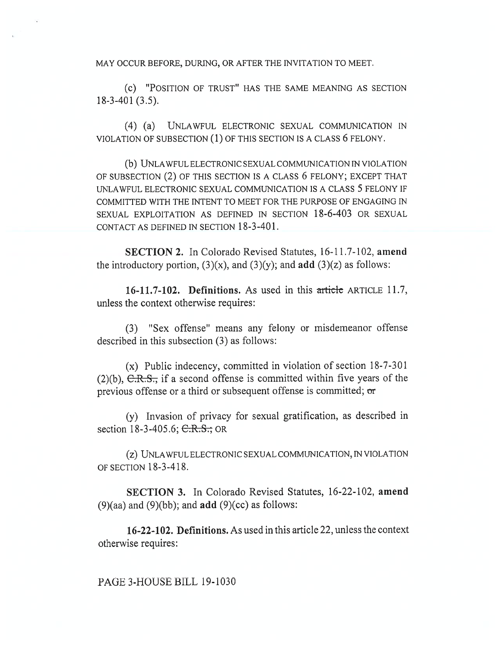MAY OCCUR BEFORE, DURING, OR AFTER THE INVITATION TO MEET.

(c) "POSITION OF TRUST" HAS THE SAME MEANING AS SECTION 18-3-401 (3.5).

(4) (a) UNLAWFUL ELECTRONIC SEXUAL COMMUNICATION IN VIOLATION OF SUBSECTION (1) OF THIS SECTION IS A CLASS 6 FELONY.

(b) UNLAWFUL ELECTRONIC SEXUAL COMMUNICATION IN VIOLATION OF SUBSECTION (2) OF THIS SECTION IS A CLASS 6 FELONY; EXCEPT THAT UNLAWFUL ELECTRONIC SEXUAL COMMUNICATION IS A CLASS 5 FELONY IF COMMITTED WITH THE INTENT TO MEET FOR THE PURPOSE OF ENGAGING IN SEXUAL EXPLOITATION AS DEFINED IN SECTION 18-6-403 OR SEXUAL CONTACT AS DEFINED IN SECTION 18-3-401.

**SECTION 2.** In Colorado Revised Statutes, 16-11.7-102, **amend**  the introductory portion,  $(3)(x)$ , and  $(3)(y)$ ; and **add**  $(3)(z)$  as follows:

**16-11.7-102. Definitions.** As used in this article ARTICLE 11.7, unless the context otherwise requires:

(3) "Sex offense" means any felony or misdemeanor offense described in this subsection (3) as follows:

(x) Public indecency, committed in violation of section 18-7-301 (2)(b),  $C.R.S.,$  if a second offense is committed within five years of the previous offense or a third or subsequent offense is committed; **or** 

(y) Invasion of privacy for sexual gratification, as described in section 18-3-405.6; C.R.S.; OR

(z) UNLAWFUL ELECTRONIC SEXUAL COMMUNICATION, IN VIOLATION OF SECTION 18-3-418.

**SECTION 3.** In Colorado Revised Statutes, 16-22-102, **amend**  (9)(aa) and (9)(bb); and **add** (9)(cc) as follows:

**16-22-102. Definitions.** As used in this article 22, unless the context otherwise requires:

PAGE 3-HOUSE BILL 19-1030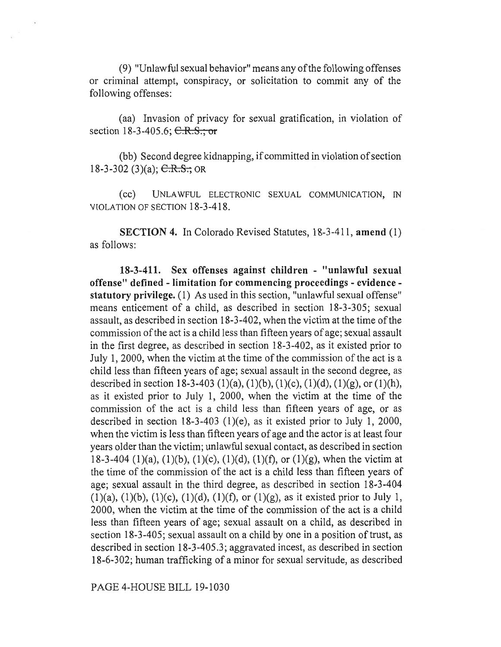(9) "Unlawful sexual behavior" means any of the following offenses or criminal attempt, conspiracy, or solicitation to commit any of the following offenses:

(aa) Invasion of privacy for sexual gratification, in violation of section 18-3-405.6;  $C.R.S.; or$ 

(bb) Second degree kidnapping, if committed in violation of section 18-3-302 (3)(a);  $C.R.S.;$  OR

(CC) UNLAWFUL ELECTRONIC SEXUAL COMMUNICATION, IN VIOLATION OF SECTION 18-3-418.

**SECTION 4.** In Colorado Revised Statutes, 18-3-411, **amend** (1) as follows:

**18-3-411. Sex offenses against children - "unlawful sexual offense" defined - limitation for commencing proceedings - evidence statutory privilege.** (1) As used in this section, "unlawful sexual offense" means enticement of a child, as described in section 18-3-305; sexual assault, as described in section 18-3-402, when the victim at the time of the commission of the act is a child less than fifteen years of age; sexual assault in the first degree, as described in section 18-3-402, as it existed prior to July 1, 2000, when the victim at the time of the commission of the act is a child less than fifteen years of age; sexual assault in the second degree, as described in section 18-3-403 (1)(a), (1)(b), (1)(c), (1)(d), (1)(g), or (1)(h), as it existed prior to July 1, 2000, when the victim at the time of the commission of the act is a child less than fifteen years of age, or as described in section 18-3-403 (1)(e), as it existed prior to July 1, 2000, when the victim is less than fifteen years of age and the actor is at least four years older than the victim; unlawful sexual contact, as described in section 18-3-404 (1)(a), (1)(b), (1)(c), (1)(d), (1)(f), or (1)(g), when the victim at the time of the commission of the act is a child less than fifteen years of age; sexual assault in the third degree, as described in section 18-3-404  $(1)(a)$ ,  $(1)(b)$ ,  $(1)(c)$ ,  $(1)(d)$ ,  $(1)(f)$ , or  $(1)(g)$ , as it existed prior to July 1, 2000, when the victim at the time of the commission of the act is a child less than fifteen years of age; sexual assault on a child, as described in section 18-3-405; sexual assault on a child by one in a position of trust, as described in section 18-3-405.3; aggravated incest, as described in section 18-6-302; human trafficking of a minor for sexual servitude, as described

PAGE 4-HOUSE BILL 19-1030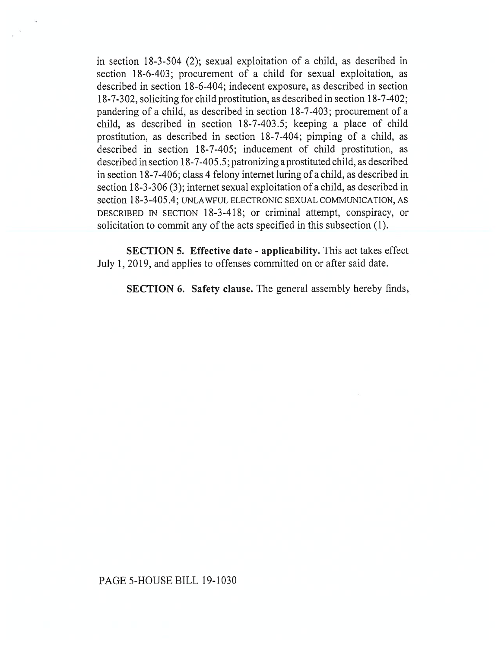in section 18-3-504 (2); sexual exploitation of a child, as described in section 18-6-403; procurement of a child for sexual exploitation, as described in section 18-6-404; indecent exposure, as described in section 18-7-302, soliciting for child prostitution, as described in section 18-7-402; pandering of a child, as described in section 18-7-403; procurement of a child, as described in section 18-7-403.5; keeping a place of child prostitution, as described in section 18-7-404; pimping of a child, as described in section 18-7-405; inducement of child prostitution, as described in section 18-7-405.5; patronizing a prostituted child, as described in section 18-7-406; class 4 felony internet luring of a child, as described in section 18-3-306 (3); internet sexual exploitation of a child, as described in section 18-3-405.4; UNLAWFUL ELECTRONIC SEXUAL COMMUNICATION, AS DESCRIBED IN SECTION 18-3-418; or criminal attempt, conspiracy, or solicitation to commit any of the acts specified in this subsection (1).

**SECTION 5. Effective date - applicability.** This act takes effect July 1, 2019, and applies to offenses committed on or after said date.

**SECTION 6. Safety clause.** The general assembly hereby finds,